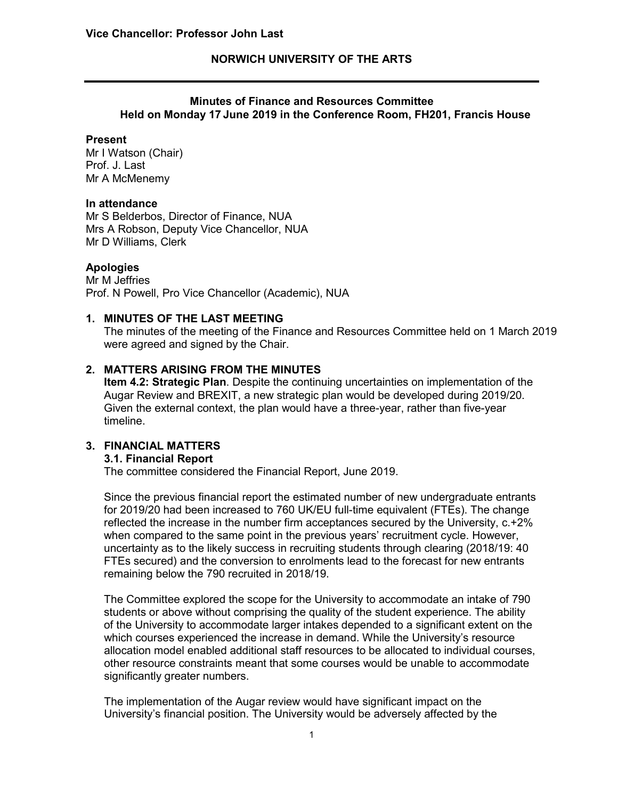## **NORWICH UNIVERSITY OF THE ARTS**

### **Minutes of Finance and Resources Committee Held on Monday 17 June 2019 in the Conference Room, FH201, Francis House**

#### **Present**

Mr I Watson (Chair) Prof. J. Last Mr A McMenemy

#### **In attendance**

Mr S Belderbos, Director of Finance, NUA Mrs A Robson, Deputy Vice Chancellor, NUA Mr D Williams, Clerk

#### **Apologies**

Mr M Jeffries Prof. N Powell, Pro Vice Chancellor (Academic), NUA

### **1. MINUTES OF THE LAST MEETING**

The minutes of the meeting of the Finance and Resources Committee held on 1 March 2019 were agreed and signed by the Chair.

## **2. MATTERS ARISING FROM THE MINUTES**

**Item 4.2: Strategic Plan**. Despite the continuing uncertainties on implementation of the Augar Review and BREXIT, a new strategic plan would be developed during 2019/20. Given the external context, the plan would have a three-year, rather than five-year timeline.

# **3. FINANCIAL MATTERS**

#### **3.1. Financial Report**

The committee considered the Financial Report, June 2019.

Since the previous financial report the estimated number of new undergraduate entrants for 2019/20 had been increased to 760 UK/EU full-time equivalent (FTEs). The change reflected the increase in the number firm acceptances secured by the University, c.+2% when compared to the same point in the previous years' recruitment cycle. However, uncertainty as to the likely success in recruiting students through clearing (2018/19: 40 FTEs secured) and the conversion to enrolments lead to the forecast for new entrants remaining below the 790 recruited in 2018/19.

The Committee explored the scope for the University to accommodate an intake of 790 students or above without comprising the quality of the student experience. The ability of the University to accommodate larger intakes depended to a significant extent on the which courses experienced the increase in demand. While the University's resource allocation model enabled additional staff resources to be allocated to individual courses, other resource constraints meant that some courses would be unable to accommodate significantly greater numbers.

The implementation of the Augar review would have significant impact on the University's financial position. The University would be adversely affected by the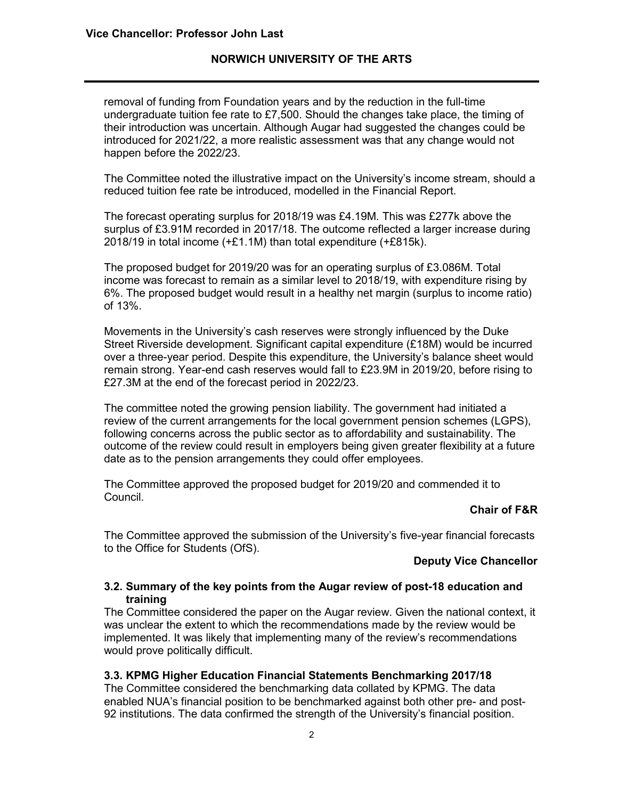## **NORWICH UNIVERSITY OF THE ARTS**

removal of funding from Foundation years and by the reduction in the full-time undergraduate tuition fee rate to £7,500. Should the changes take place, the timing of their introduction was uncertain. Although Augar had suggested the changes could be introduced for 2021/22, a more realistic assessment was that any change would not happen before the 2022/23.

The Committee noted the illustrative impact on the University's income stream, should a reduced tuition fee rate be introduced, modelled in the Financial Report.

The forecast operating surplus for 2018/19 was £4.19M. This was £277k above the surplus of £3.91M recorded in 2017/18. The outcome reflected a larger increase during 2018/19 in total income (+£1.1M) than total expenditure (+£815k).

The proposed budget for 2019/20 was for an operating surplus of £3.086M. Total income was forecast to remain as a similar level to 2018/19, with expenditure rising by 6%. The proposed budget would result in a healthy net margin (surplus to income ratio) of 13%.

Movements in the University's cash reserves were strongly influenced by the Duke Street Riverside development. Significant capital expenditure (£18M) would be incurred over a three-year period. Despite this expenditure, the University's balance sheet would remain strong. Year-end cash reserves would fall to £23.9M in 2019/20, before rising to £27.3M at the end of the forecast period in 2022/23.

The committee noted the growing pension liability. The government had initiated a review of the current arrangements for the local government pension schemes (LGPS), following concerns across the public sector as to affordability and sustainability. The outcome of the review could result in employers being given greater flexibility at a future date as to the pension arrangements they could offer employees.

The Committee approved the proposed budget for 2019/20 and commended it to Council.

### **Chair of F&R**

The Committee approved the submission of the University's five-year financial forecasts to the Office for Students (OfS).

### **Deputy Vice Chancellor**

#### **3.2. Summary of the key points from the Augar review of post-18 education and training**

The Committee considered the paper on the Augar review. Given the national context, it was unclear the extent to which the recommendations made by the review would be implemented. It was likely that implementing many of the review's recommendations would prove politically difficult.

#### **3.3. KPMG Higher Education Financial Statements Benchmarking 2017/18**

The Committee considered the benchmarking data collated by KPMG. The data enabled NUA's financial position to be benchmarked against both other pre- and post-92 institutions. The data confirmed the strength of the University's financial position.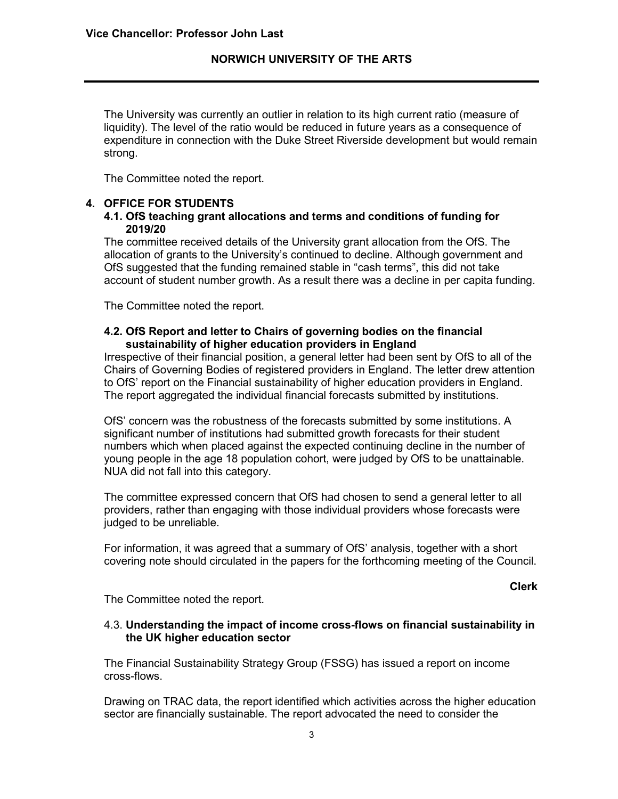The University was currently an outlier in relation to its high current ratio (measure of liquidity). The level of the ratio would be reduced in future years as a consequence of expenditure in connection with the Duke Street Riverside development but would remain strong.

The Committee noted the report.

#### **4. OFFICE FOR STUDENTS**

#### **4.1. OfS teaching grant allocations and terms and conditions of funding for 2019/20**

The committee received details of the University grant allocation from the OfS. The allocation of grants to the University's continued to decline. Although government and OfS suggested that the funding remained stable in "cash terms", this did not take account of student number growth. As a result there was a decline in per capita funding.

The Committee noted the report.

### **4.2. OfS Report and letter to Chairs of governing bodies on the financial sustainability of higher education providers in England**

Irrespective of their financial position, a general letter had been sent by OfS to all of the Chairs of Governing Bodies of registered providers in England. The letter drew attention to OfS' report on the Financial sustainability of higher education providers in England. The report aggregated the individual financial forecasts submitted by institutions.

OfS' concern was the robustness of the forecasts submitted by some institutions. A significant number of institutions had submitted growth forecasts for their student numbers which when placed against the expected continuing decline in the number of young people in the age 18 population cohort, were judged by OfS to be unattainable. NUA did not fall into this category.

The committee expressed concern that OfS had chosen to send a general letter to all providers, rather than engaging with those individual providers whose forecasts were judged to be unreliable.

For information, it was agreed that a summary of OfS' analysis, together with a short covering note should circulated in the papers for the forthcoming meeting of the Council.

**Clerk**

The Committee noted the report.

#### 4.3. **Understanding the impact of income cross-flows on financial sustainability in the UK higher education sector**

The Financial Sustainability Strategy Group (FSSG) has issued a report on income cross-flows.

Drawing on TRAC data, the report identified which activities across the higher education sector are financially sustainable. The report advocated the need to consider the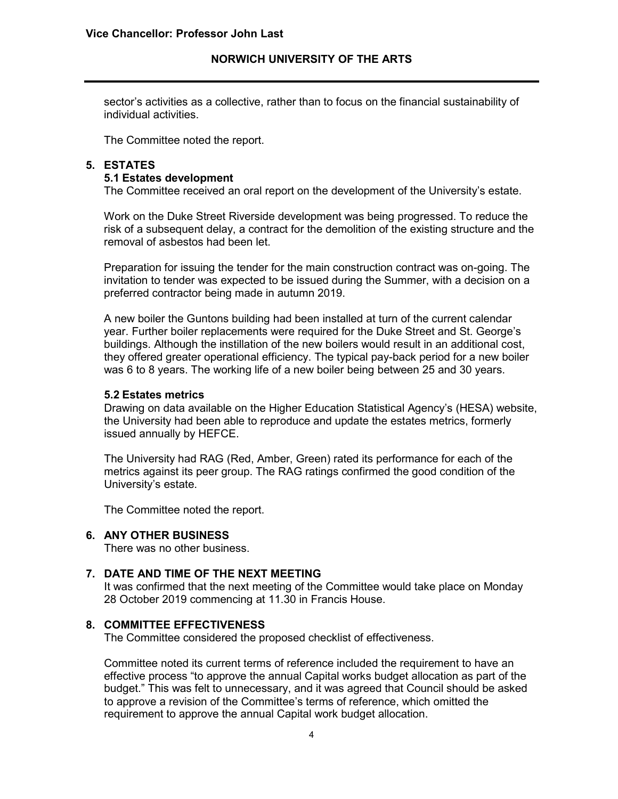sector's activities as a collective, rather than to focus on the financial sustainability of individual activities.

The Committee noted the report.

# **5. ESTATES**

# **5.1 Estates development**

The Committee received an oral report on the development of the University's estate.

Work on the Duke Street Riverside development was being progressed. To reduce the risk of a subsequent delay, a contract for the demolition of the existing structure and the removal of asbestos had been let.

Preparation for issuing the tender for the main construction contract was on-going. The invitation to tender was expected to be issued during the Summer, with a decision on a preferred contractor being made in autumn 2019.

A new boiler the Guntons building had been installed at turn of the current calendar year. Further boiler replacements were required for the Duke Street and St. George's buildings. Although the instillation of the new boilers would result in an additional cost, they offered greater operational efficiency. The typical pay-back period for a new boiler was 6 to 8 years. The working life of a new boiler being between 25 and 30 years.

#### **5.2 Estates metrics**

Drawing on data available on the Higher Education Statistical Agency's (HESA) website, the University had been able to reproduce and update the estates metrics, formerly issued annually by HEFCE.

The University had RAG (Red, Amber, Green) rated its performance for each of the metrics against its peer group. The RAG ratings confirmed the good condition of the University's estate.

The Committee noted the report.

#### **6. ANY OTHER BUSINESS**

There was no other business.

#### **7. DATE AND TIME OF THE NEXT MEETING**

It was confirmed that the next meeting of the Committee would take place on Monday 28 October 2019 commencing at 11.30 in Francis House.

#### **8. COMMITTEE EFFECTIVENESS**

The Committee considered the proposed checklist of effectiveness.

Committee noted its current terms of reference included the requirement to have an effective process "to approve the annual Capital works budget allocation as part of the budget." This was felt to unnecessary, and it was agreed that Council should be asked to approve a revision of the Committee's terms of reference, which omitted the requirement to approve the annual Capital work budget allocation.